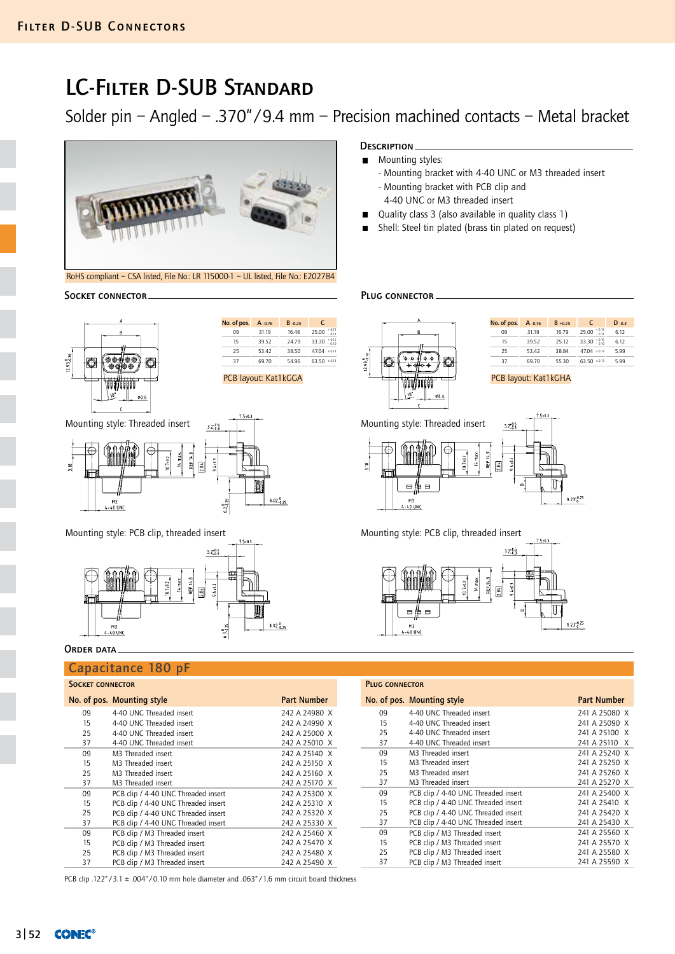# LC-Filter D-SUB Standard

Solder pin – Angled – .370"/9.4 mm – Precision machined contacts – Metal bracket



RoHS compliant – CSA listed, File No.: LR 115000-1 – UL listed, File No.: E202784

### Socket connector Plug connector



| No. of pos. | A -0.76 | B-0.25 | C                |
|-------------|---------|--------|------------------|
| 09          | 31.19   | 16.46  | $+0.12$<br>25.00 |
| 15          | 39.52   | 24.79  | $+0.15$<br>33.30 |
| 25          | 53.42   | 38.50  | 47.04<br>± 0.13  |
| 37          | 69.70   | 54.96  | 63.50<br>± 0.13  |
|             |         |        |                  |

Mounting style: Threaded insert  $\frac{1}{12}$  Mounting style: Threaded insert







## ORDER DATA.

## Capacitance 180 pF

## SOCKET CONNECTOR

|    | No. of pos. Mounting style          | <b>Part Number</b> |    | No. of pos. Mounting style          | <b>Part Number</b> |
|----|-------------------------------------|--------------------|----|-------------------------------------|--------------------|
| 09 | 4-40 UNC Threaded insert            | 242 A 24980 X      | 09 | 4-40 UNC Threaded insert            | 241 A 25080 >      |
| 15 | 4-40 UNC Threaded insert            | 242 A 24990 X      | 15 | 4-40 UNC Threaded insert            | 241 A 25090 >      |
| 25 | 4-40 UNC Threaded insert            | 242 A 25000 X      | 25 | 4-40 UNC Threaded insert            | 241 A 25100 >      |
| 37 | 4-40 UNC Threaded insert            | 242 A 25010 X      | 37 | 4-40 UNC Threaded insert            | 241 A 25110 >      |
| 09 | M3 Threaded insert                  | 242 A 25140 X      | 09 | M3 Threaded insert                  | 241 A 25240 >      |
| 15 | M3 Threaded insert                  | 242 A 25150 X      | 15 | M3 Threaded insert                  | 241 A 25250 >      |
| 25 | M3 Threaded insert                  | 242 A 25160 X      | 25 | M3 Threaded insert                  | 241 A 25260 >      |
| 37 | M3 Threaded insert                  | 242 A 25170 X      | 37 | M3 Threaded insert                  | 241 A 25270 >      |
| 09 | PCB clip / 4-40 UNC Threaded insert | 242 A 25300 X      | 09 | PCB clip / 4-40 UNC Threaded insert | 241 A 25400 >      |
| 15 | PCB clip / 4-40 UNC Threaded insert | 242 A 25310 X      | 15 | PCB clip / 4-40 UNC Threaded insert | 241 A 25410 >      |
| 25 | PCB clip / 4-40 UNC Threaded insert | 242 A 25320 X      | 25 | PCB clip / 4-40 UNC Threaded insert | 241 A 25420 >      |
| 37 | PCB clip / 4-40 UNC Threaded insert | 242 A 25330 X      | 37 | PCB clip / 4-40 UNC Threaded insert | 241 A 25430 >      |
| 09 | PCB clip / M3 Threaded insert       | 242 A 25460 X      | 09 | PCB clip / M3 Threaded insert       | 241 A 25560 >      |
| 15 | PCB clip / M3 Threaded insert       | 242 A 25470 X      | 15 | PCB clip / M3 Threaded insert       | 241 A 25570 >      |
| 25 | PCB clip / M3 Threaded insert       | 242 A 25480 X      | 25 | PCB clip / M3 Threaded insert       | 241 A 25580 >      |
| 37 | PCB clip / M3 Threaded insert       | 242 A 25490 X      | 37 | PCB clip / M3 Threaded insert       | 241 A 25590 >      |
|    |                                     |                    |    |                                     |                    |

PLUG CONNECTOR

PCB clip .122" / 3.1  $\pm$  .004" / 0.10 mm hole diameter and .063" / 1.6 mm circuit board thickness

### DESCRIPTION.

- **Mounting styles:** 
	- Mounting bracket with 4-40 UNC or M3 threaded insert
	- Mounting bracket with PCB clip and 4-40 UNC or M3 threaded insert
- Quality class 3 (also available in quality class 1)  $\blacksquare$
- Shell: Steel tin plated (brass tin plated on request)



| No. of pos. A -0.76 |       | $B + 0.25$ | C                        | $D - 0.3$ |
|---------------------|-------|------------|--------------------------|-----------|
| 09                  | 31.19 | 16.79      | $25.00 \div 0.12$        | 6.12      |
| 15                  | 39.52 | 25.12      | 33.30 $^{+0.15}_{-0.10}$ | 6.12      |
| 25                  | 53.42 | 38.84      | $47.04 \pm 0.13$         | 5.99      |
| 37                  | 69.70 | 55.30      | 63.50<br>± 0.13          | 5.99      |
|                     |       |            |                          |           |



### Mounting style: PCB clip, threaded insert Mounting style: PCB clip, threaded insert



| 3 52 <b>CONEC®</b> |  |
|--------------------|--|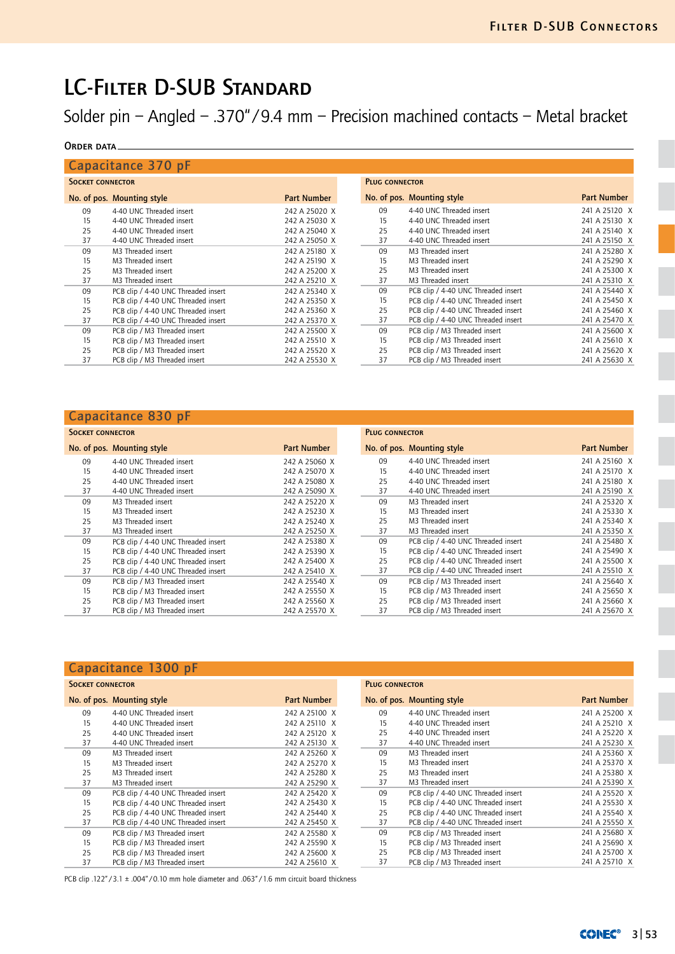# LC-Filter D-SUB Standard

Solder pin – Angled – .370"/9.4 mm – Precision machined contacts – Metal bracket

## ORDER DATA

|                         | Capacitance 370 pF                  |                    |                       |                                     |                    |  |
|-------------------------|-------------------------------------|--------------------|-----------------------|-------------------------------------|--------------------|--|
| <b>SOCKET CONNECTOR</b> |                                     |                    | <b>PLUG CONNECTOR</b> |                                     |                    |  |
|                         | No. of pos. Mounting style          | <b>Part Number</b> |                       | No. of pos. Mounting style          | <b>Part Number</b> |  |
| 09                      | 4-40 UNC Threaded insert            | 242 A 25020 X      | 09                    | 4-40 UNC Threaded insert            | 241 A 25120 X      |  |
| 15                      | 4-40 UNC Threaded insert            | 242 A 25030 X      | 15                    | 4-40 UNC Threaded insert            | 241 A 25130 X      |  |
| 25                      | 4-40 UNC Threaded insert            | 242 A 25040 X      | 25                    | 4-40 UNC Threaded insert            | 241 A 25140 X      |  |
| 37                      | 4-40 UNC Threaded insert            | 242 A 25050 X      | 37                    | 4-40 UNC Threaded insert            | 241 A 25150 X      |  |
| 09                      | M3 Threaded insert                  | 242 A 25180 X      | 09                    | M3 Threaded insert                  | 241 A 25280 X      |  |
| 15                      | M3 Threaded insert                  | 242 A 25190 X      | 15                    | M3 Threaded insert                  | 241 A 25290 X      |  |
| 25                      | M3 Threaded insert                  | 242 A 25200 X      | 25                    | M3 Threaded insert                  | 241 A 25300 X      |  |
| 37                      | M3 Threaded insert                  | 242 A 25210 X      | 37                    | M3 Threaded insert                  | 241 A 25310 X      |  |
| 09                      | PCB clip / 4-40 UNC Threaded insert | 242 A 25340 X      | 09                    | PCB clip / 4-40 UNC Threaded insert | 241 A 25440 X      |  |
| 15                      | PCB clip / 4-40 UNC Threaded insert | 242 A 25350 X      | 15                    | PCB clip / 4-40 UNC Threaded insert | 241 A 25450 X      |  |
| 25                      | PCB clip / 4-40 UNC Threaded insert | 242 A 25360 X      | 25                    | PCB clip / 4-40 UNC Threaded insert | 241 A 25460 X      |  |
| 37                      | PCB clip / 4-40 UNC Threaded insert | 242 A 25370 X      | 37                    | PCB clip / 4-40 UNC Threaded insert | 241 A 25470 X      |  |
| 09                      | PCB clip / M3 Threaded insert       | 242 A 25500 X      | 09                    | PCB clip / M3 Threaded insert       | 241 A 25600 X      |  |
| 15                      | PCB clip / M3 Threaded insert       | 242 A 25510 X      | 15                    | PCB clip / M3 Threaded insert       | 241 A 25610 X      |  |
| 25                      | PCB clip / M3 Threaded insert       | 242 A 25520 X      | 25                    | PCB clip / M3 Threaded insert       | 241 A 25620 X      |  |
| 37                      | PCB clip / M3 Threaded insert       | 242 A 25530 X      | 37                    | PCB clip / M3 Threaded insert       | 241 A 25630 X      |  |

# Capacitance 830 pF

| <b>SOCKET CONNECTOR</b> |                                     |                    | <b>PLUG CONNECTOR</b> |                                     |                    |  |
|-------------------------|-------------------------------------|--------------------|-----------------------|-------------------------------------|--------------------|--|
|                         | No. of pos. Mounting style          | <b>Part Number</b> |                       | No. of pos. Mounting style          | <b>Part Number</b> |  |
| 09                      | 4-40 UNC Threaded insert            | 242 A 25060 X      | 09                    | 4-40 UNC Threaded insert            | 241 A 25160 X      |  |
| 15                      | 4-40 UNC Threaded insert            | 242 A 25070 X      | 15                    | 4-40 UNC Threaded insert            | 241 A 25170 X      |  |
| 25                      | 4-40 UNC Threaded insert            | 242 A 25080 X      | 25                    | 4-40 UNC Threaded insert            | 241 A 25180 X      |  |
| 37                      | 4-40 UNC Threaded insert            | 242 A 25090 X      | 37                    | 4-40 UNC Threaded insert            | 241 A 25190 X      |  |
| 09                      | M3 Threaded insert                  | 242 A 25220 X      | 09                    | M3 Threaded insert                  | 241 A 25320 X      |  |
| 15                      | M3 Threaded insert                  | 242 A 25230 X      | 15                    | M3 Threaded insert                  | 241 A 25330 X      |  |
| 25                      | M3 Threaded insert                  | 242 A 25240 X      | 25                    | M3 Threaded insert                  | 241 A 25340 X      |  |
| 37                      | M3 Threaded insert                  | 242 A 25250 X      | 37                    | M3 Threaded insert                  | 241 A 25350 X      |  |
| 09                      | PCB clip / 4-40 UNC Threaded insert | 242 A 25380 X      | 09                    | PCB clip / 4-40 UNC Threaded insert | 241 A 25480 X      |  |
| 15                      | PCB clip / 4-40 UNC Threaded insert | 242 A 25390 X      | 15                    | PCB clip / 4-40 UNC Threaded insert | 241 A 25490 X      |  |
| 25                      | PCB clip / 4-40 UNC Threaded insert | 242 A 25400 X      | 25                    | PCB clip / 4-40 UNC Threaded insert | 241 A 25500 X      |  |
| 37                      | PCB clip / 4-40 UNC Threaded insert | 242 A 25410 X      | 37                    | PCB clip / 4-40 UNC Threaded insert | 241 A 25510 X      |  |
| 09                      | PCB clip / M3 Threaded insert       | 242 A 25540 X      | 09                    | PCB clip / M3 Threaded insert       | 241 A 25640 X      |  |
| 15                      | PCB clip / M3 Threaded insert       | 242 A 25550 X      | 15                    | PCB clip / M3 Threaded insert       | 241 A 25650 X      |  |
| 25                      | PCB clip / M3 Threaded insert       | 242 A 25560 X      | 25                    | PCB clip / M3 Threaded insert       | 241 A 25660 X      |  |
| 37                      | PCB clip / M3 Threaded insert       | 242 A 25570 X      | 37                    | PCB clip / M3 Threaded insert       | 241 A 25670 X      |  |

|                         | Capacitance 1300 pF                 |                    |                       |                                     |                    |
|-------------------------|-------------------------------------|--------------------|-----------------------|-------------------------------------|--------------------|
| <b>SOCKET CONNECTOR</b> |                                     |                    | <b>PLUG CONNECTOR</b> |                                     |                    |
|                         | No. of pos. Mounting style          | <b>Part Number</b> |                       | No. of pos. Mounting style          | <b>Part Number</b> |
| 09                      | 4-40 UNC Threaded insert            | 242 A 25100 X      | 09                    | 4-40 UNC Threaded insert            | 241 A 25200 X      |
| 15                      | 4-40 UNC Threaded insert            | 242 A 25110 X      | 15                    | 4-40 UNC Threaded insert            | 241 A 25210 X      |
| 25                      | 4-40 UNC Threaded insert            | 242 A 25120 X      | 25                    | 4-40 UNC Threaded insert            | 241 A 25220 X      |
| 37                      | 4-40 UNC Threaded insert            | 242 A 25130 X      | 37                    | 4-40 UNC Threaded insert            | 241 A 25230 X      |
| 09                      | M3 Threaded insert                  | 242 A 25260 X      | 09                    | M3 Threaded insert                  | 241 A 25360 X      |
| 15                      | M3 Threaded insert                  | 242 A 25270 X      | 15                    | M3 Threaded insert                  | 241 A 25370 X      |
| 25                      | M3 Threaded insert                  | 242 A 25280 X      | 25                    | M3 Threaded insert                  | 241 A 25380 X      |
| 37                      | M3 Threaded insert                  | 242 A 25290 X      | 37                    | M3 Threaded insert                  | 241 A 25390 X      |
| 09                      | PCB clip / 4-40 UNC Threaded insert | 242 A 25420 X      | 09                    | PCB clip / 4-40 UNC Threaded insert | 241 A 25520 X      |
| 15                      | PCB clip / 4-40 UNC Threaded insert | 242 A 25430 X      | 15                    | PCB clip / 4-40 UNC Threaded insert | 241 A 25530 X      |
| 25                      | PCB clip / 4-40 UNC Threaded insert | 242 A 25440 X      | 25                    | PCB clip / 4-40 UNC Threaded insert | 241 A 25540 X      |
| 37                      | PCB clip / 4-40 UNC Threaded insert | 242 A 25450 X      | 37                    | PCB clip / 4-40 UNC Threaded insert | 241 A 25550 X      |
| 09                      | PCB clip / M3 Threaded insert       | 242 A 25580 X      | 09                    | PCB clip / M3 Threaded insert       | 241 A 25680 X      |
| 15                      | PCB clip / M3 Threaded insert       | 242 A 25590 X      | 15                    | PCB clip / M3 Threaded insert       | 241 A 25690 X      |
| 25                      | PCB clip / M3 Threaded insert       | 242 A 25600 X      | 25                    | PCB clip / M3 Threaded insert       | 241 A 25700 X      |
| 37                      | PCB clip / M3 Threaded insert       | 242 A 25610 X      | 37                    | PCB clip / M3 Threaded insert       | 241 A 25710 X      |

PCB clip .122" / 3.1  $\pm$  .004" / 0.10 mm hole diameter and .063" / 1.6 mm circuit board thickness